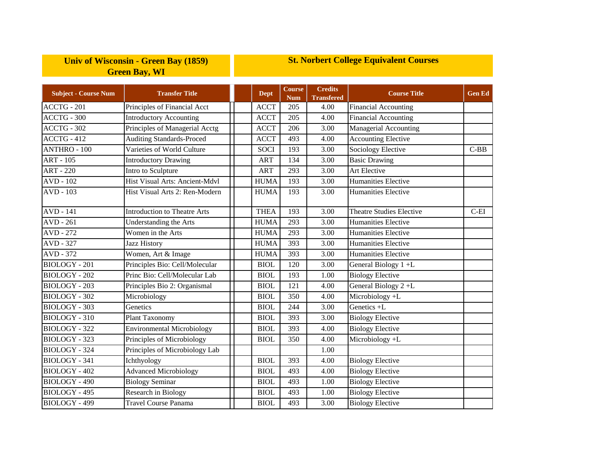## **Univ of Wisconsin - Green Bay (1859) Green Bay, WI**

## **St. Norbert College Equivalent Courses**

| <b>Subject - Course Num</b> | <b>Transfer Title</b>               | <b>Dept</b> | <b>Course</b><br><b>Num</b> | <b>Credits</b><br><b>Transfered</b> | <b>Course Title</b>             | <b>Gen Ed</b> |
|-----------------------------|-------------------------------------|-------------|-----------------------------|-------------------------------------|---------------------------------|---------------|
| ACCTG - 201                 | Principles of Financial Acct        | <b>ACCT</b> | 205                         | 4.00                                | <b>Financial Accounting</b>     |               |
| ACCTG - 300                 | <b>Introductory Accounting</b>      | <b>ACCT</b> | 205                         | 4.00                                | <b>Financial Accounting</b>     |               |
| ACCTG - 302                 | Principles of Managerial Acctg      | <b>ACCT</b> | 206                         | 3.00                                | Managerial Accounting           |               |
| ACCTG - 412                 | <b>Auditing Standards-Proced</b>    | <b>ACCT</b> | 493                         | 4.00                                | <b>Accounting Elective</b>      |               |
| <b>ANTHRO - 100</b>         | Varieties of World Culture          | <b>SOCI</b> | 193                         | 3.00                                | <b>Sociology Elective</b>       | $C-BB$        |
| <b>ART - 105</b>            | <b>Introductory Drawing</b>         | <b>ART</b>  | 134                         | 3.00                                | <b>Basic Drawing</b>            |               |
| <b>ART - 220</b>            | Intro to Sculpture                  | <b>ART</b>  | 293                         | 3.00                                | Art Elective                    |               |
| $AVD - 102$                 | Hist Visual Arts: Ancient-Mdvl      | <b>HUMA</b> | 193                         | 3.00                                | Humanities Elective             |               |
| AVD - 103                   | Hist Visual Arts 2: Ren-Modern      | <b>HUMA</b> | 193                         | 3.00                                | Humanities Elective             |               |
| <b>AVD</b> - 141            | <b>Introduction to Theatre Arts</b> | <b>THEA</b> | 193                         | 3.00                                | <b>Theatre Studies Elective</b> | $C-EI$        |
| <b>AVD</b> - 261            | Understanding the Arts              | <b>HUMA</b> | 293                         | 3.00                                | Humanities Elective             |               |
| <b>AVD - 272</b>            | Women in the Arts                   | <b>HUMA</b> | 293                         | 3.00                                | Humanities Elective             |               |
| AVD - 327                   | <b>Jazz History</b>                 | <b>HUMA</b> | 393                         | 3.00                                | Humanities Elective             |               |
| AVD - 372                   | Women, Art & Image                  | <b>HUMA</b> | 393                         | 3.00                                | <b>Humanities Elective</b>      |               |
| <b>BIOLOGY - 201</b>        | Principles Bio: Cell/Molecular      | <b>BIOL</b> | 120                         | 3.00                                | General Biology 1 +L            |               |
| <b>BIOLOGY - 202</b>        | Princ Bio: Cell/Molecular Lab       | <b>BIOL</b> | 193                         | 1.00                                | <b>Biology Elective</b>         |               |
| <b>BIOLOGY - 203</b>        | Principles Bio 2: Organismal        | <b>BIOL</b> | 121                         | 4.00                                | General Biology 2+L             |               |
| <b>BIOLOGY - 302</b>        | Microbiology                        | <b>BIOL</b> | 350                         | 4.00                                | Microbiology +L                 |               |
| <b>BIOLOGY - 303</b>        | Genetics                            | <b>BIOL</b> | 244                         | 3.00                                | Genetics +L                     |               |
| <b>BIOLOGY - 310</b>        | Plant Taxonomy                      | <b>BIOL</b> | 393                         | 3.00                                | <b>Biology Elective</b>         |               |
| BIOLOGY - 322               | <b>Environmental Microbiology</b>   | <b>BIOL</b> | 393                         | 4.00                                | <b>Biology Elective</b>         |               |
| <b>BIOLOGY - 323</b>        | Principles of Microbiology          | <b>BIOL</b> | 350                         | 4.00                                | Microbiology +L                 |               |
| BIOLOGY - 324               | Principles of Microbiology Lab      |             |                             | 1.00                                |                                 |               |
| BIOLOGY - 341               | Ichthyology                         | <b>BIOL</b> | 393                         | 4.00                                | <b>Biology Elective</b>         |               |
| BIOLOGY - 402               | <b>Advanced Microbiology</b>        | <b>BIOL</b> | 493                         | 4.00                                | <b>Biology Elective</b>         |               |
| <b>BIOLOGY - 490</b>        | <b>Biology Seminar</b>              | <b>BIOL</b> | 493                         | 1.00                                | <b>Biology Elective</b>         |               |
| BIOLOGY - 495               | Research in Biology                 | <b>BIOL</b> | 493                         | 1.00                                | <b>Biology Elective</b>         |               |
| BIOLOGY - 499               | <b>Travel Course Panama</b>         | <b>BIOL</b> | 493                         | 3.00                                | <b>Biology Elective</b>         |               |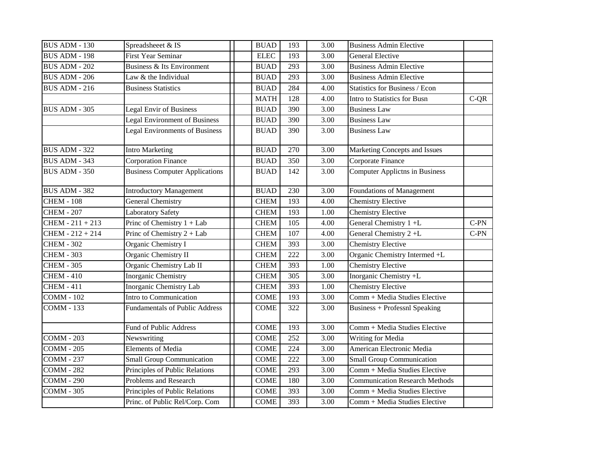| <b>BUS ADM - 130</b> | Spreadsheeet & IS                     | <b>BUAD</b>     | 193 | 3.00              | <b>Business Admin Elective</b>        |        |
|----------------------|---------------------------------------|-----------------|-----|-------------------|---------------------------------------|--------|
|                      |                                       |                 |     |                   |                                       |        |
| <b>BUS ADM - 198</b> | <b>First Year Seminar</b>             | <b>ELEC</b>     | 193 | 3.00              | <b>General Elective</b>               |        |
| <b>BUS ADM - 202</b> | Business & Its Environment            | <b>BUAD</b>     | 293 | 3.00              | <b>Business Admin Elective</b>        |        |
| <b>BUS ADM - 206</b> | Law & the Individual                  | <b>BUAD</b>     | 293 | 3.00              | <b>Business Admin Elective</b>        |        |
| BUS ADM - 216        | <b>Business Statistics</b>            | <b>BUAD</b>     | 284 | 4.00              | <b>Statistics for Business / Econ</b> |        |
|                      |                                       | <b>MATH</b>     | 128 | 4.00              | Intro to Statistics for Busn          | $C-QR$ |
| BUS ADM - 305        | <b>Legal Envir of Business</b>        | <b>BUAD</b>     | 390 | 3.00              | <b>Business Law</b>                   |        |
|                      | Legal Environment of Business         | <b>BUAD</b>     | 390 | 3.00              | <b>Business Law</b>                   |        |
|                      | <b>Legal Environments of Business</b> | <b>BUAD</b>     | 390 | 3.00              | <b>Business Law</b>                   |        |
| <b>BUS ADM - 322</b> | <b>Intro Marketing</b>                | <b>BUAD</b>     | 270 | 3.00              | Marketing Concepts and Issues         |        |
| <b>BUS ADM - 343</b> | <b>Corporation Finance</b>            | <b>BUAD</b>     | 350 | 3.00              | Corporate Finance                     |        |
| <b>BUS ADM - 350</b> | <b>Business Computer Applications</b> | <b>BUAD</b>     | 142 | 3.00              | <b>Computer Applictns in Business</b> |        |
| <b>BUS ADM - 382</b> | <b>Introductory Management</b>        | <b>BUAD</b>     | 230 | 3.00              | Foundations of Management             |        |
| <b>CHEM - 108</b>    | <b>General Chemistry</b>              | <b>CHEM</b>     | 193 | 4.00              | <b>Chemistry Elective</b>             |        |
| <b>CHEM - 207</b>    | <b>Laboratory Safety</b>              | <b>CHEM</b>     | 193 | 1.00              | <b>Chemistry Elective</b>             |        |
| $CHEM - 211 + 213$   | Princ of Chemistry $1 + Lab$          | <b>CHEM</b>     | 105 | 4.00              | General Chemistry 1 +L                | $C-PN$ |
| CHEM - 212 + 214     | Princ of Chemistry $2 + Lab$          | <b>CHEM</b>     | 107 | 4.00              | General Chemistry 2+L                 | $C-PN$ |
| <b>CHEM - 302</b>    | Organic Chemistry I                   | <b>CHEM</b>     | 393 | 3.00              | <b>Chemistry Elective</b>             |        |
| <b>CHEM - 303</b>    | Organic Chemistry II                  | <b>CHEM</b>     | 222 | 3.00              | Organic Chemistry Intermed +L         |        |
| <b>CHEM - 305</b>    | Organic Chemistry Lab II              | <b>CHEM</b>     | 393 | 1.00              | <b>Chemistry Elective</b>             |        |
| <b>CHEM - 410</b>    | Inorganic Chemistry                   | <b>CHEM</b>     | 305 | 3.00              | Inorganic Chemistry +L                |        |
| <b>CHEM - 411</b>    | Inorganic Chemistry Lab               | <b>CHEM</b>     | 393 | 1.00              | <b>Chemistry Elective</b>             |        |
| $COMM - 102$         | Intro to Communication                | <b>COME</b>     | 193 | $\overline{3.00}$ | Comm + Media Studies Elective         |        |
| <b>COMM - 133</b>    | <b>Fundamentals of Public Address</b> | <b>COME</b>     | 322 | 3.00              | <b>Business + Professnl Speaking</b>  |        |
|                      | Fund of Public Address                | <b>COME</b>     | 193 | 3.00              | Comm + Media Studies Elective         |        |
| <b>COMM - 203</b>    | Newswriting                           | <b>COME</b>     | 252 | 3.00              | Writing for Media                     |        |
| <b>COMM - 205</b>    | <b>Elements of Media</b>              | <b>COME</b>     | 224 | 3.00              | American Electronic Media             |        |
| <b>COMM - 237</b>    | <b>Small Group Communication</b>      | <b>COME</b>     | 222 | 3.00              | <b>Small Group Communication</b>      |        |
| <b>COMM - 282</b>    | Principles of Public Relations        | <b>COME</b>     | 293 | 3.00              | Comm + Media Studies Elective         |        |
| <b>COMM - 290</b>    | Problems and Research                 | <b>COME</b>     | 180 | 3.00              | <b>Communication Research Methods</b> |        |
| <b>COMM - 305</b>    | Principles of Public Relations        | <b>COME</b>     | 393 | 3.00              | Comm + Media Studies Elective         |        |
|                      | Princ. of Public Rel/Corp. Com        | $\text{COME}{}$ | 393 | 3.00              | Comm + Media Studies Elective         |        |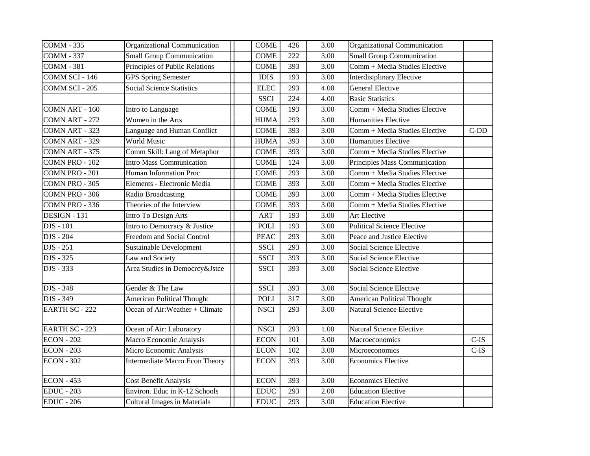| <b>COMM - 335</b>     | Organizational Communication        | <b>COME</b> | 426 | 3.00 | Organizational Communication      |         |
|-----------------------|-------------------------------------|-------------|-----|------|-----------------------------------|---------|
| <b>COMM - 337</b>     | <b>Small Group Communication</b>    | <b>COME</b> | 222 | 3.00 | <b>Small Group Communication</b>  |         |
| <b>COMM - 381</b>     | Principles of Public Relations      | <b>COME</b> | 393 | 3.00 | Comm + Media Studies Elective     |         |
| COMM SCI - 146        | <b>GPS Spring Semester</b>          | <b>IDIS</b> | 193 | 3.00 | <b>Interdisiplinary Elective</b>  |         |
| COMM SCI - 205        | <b>Social Science Statistics</b>    | <b>ELEC</b> | 293 | 4.00 | <b>General Elective</b>           |         |
|                       |                                     | <b>SSCI</b> | 224 | 4.00 | <b>Basic Statistics</b>           |         |
| COMN ART - 160        | Intro to Language                   | <b>COME</b> | 193 | 3.00 | Comm + Media Studies Elective     |         |
| COMN ART - 272        | Women in the Arts                   | <b>HUMA</b> | 293 | 3.00 | Humanities Elective               |         |
| COMN ART - 323        | Language and Human Conflict         | <b>COME</b> | 393 | 3.00 | Comm + Media Studies Elective     | $C-DD$  |
| COMN ART - 329        | <b>World Music</b>                  | <b>HUMA</b> | 393 | 3.00 | Humanities Elective               |         |
| COMN ART - 375        | Comm Skill: Lang of Metaphor        | <b>COME</b> | 393 | 3.00 | Comm + Media Studies Elective     |         |
| COMN PRO - 102        | <b>Intro Mass Communication</b>     | <b>COME</b> | 124 | 3.00 | Principles Mass Communication     |         |
| COMN PRO - 201        | <b>Human Information Proc</b>       | <b>COME</b> | 293 | 3.00 | Comm + Media Studies Elective     |         |
| COMN PRO - 305        | Elements - Electronic Media         | <b>COME</b> | 393 | 3.00 | Comm + Media Studies Elective     |         |
| COMN PRO - 306        | Radio Broadcasting                  | <b>COME</b> | 393 | 3.00 | Comm + Media Studies Elective     |         |
| COMN PRO - 336        | Theories of the Interview           | <b>COME</b> | 393 | 3.00 | Comm + Media Studies Elective     |         |
| DESIGN - 131          | Intro To Design Arts                | <b>ART</b>  | 193 | 3.00 | Art Elective                      |         |
| DJS - 101             | Intro to Democracy & Justice        | <b>POLI</b> | 193 | 3.00 | <b>Political Science Elective</b> |         |
| DJS - 204             | Freedom and Social Control          | <b>PEAC</b> | 293 | 3.00 | Peace and Justice Elective        |         |
| DJS - 251             | <b>Sustainable Development</b>      | <b>SSCI</b> | 293 | 3.00 | Social Science Elective           |         |
| DJS - 325             | Law and Society                     | <b>SSCI</b> | 393 | 3.00 | Social Science Elective           |         |
| DJS - 333             | Area Studies in Democrcy&Jstce      | <b>SSCI</b> | 393 | 3.00 | Social Science Elective           |         |
| DJS - 348             | Gender & The Law                    | <b>SSCI</b> | 393 | 3.00 | <b>Social Science Elective</b>    |         |
| DJS - 349             | <b>American Political Thought</b>   | <b>POLI</b> | 317 | 3.00 | <b>American Political Thought</b> |         |
| <b>EARTH SC - 222</b> | Ocean of Air: Weather + Climate     | <b>NSCI</b> | 293 | 3.00 | Natural Science Elective          |         |
| <b>EARTH SC - 223</b> | Ocean of Air: Laboratory            | <b>NSCI</b> | 293 | 1.00 | <b>Natural Science Elective</b>   |         |
| <b>ECON - 202</b>     | Macro Economic Analysis             | <b>ECON</b> | 101 | 3.00 | Macroeconomics                    | $C$ -IS |
| <b>ECON</b> - 203     | Micro Economic Analysis             | <b>ECON</b> | 102 | 3.00 | Microeconomics                    | $C$ -IS |
| <b>ECON - 302</b>     | Intermediate Macro Econ Theory      | <b>ECON</b> | 393 | 3.00 | <b>Economics Elective</b>         |         |
| <b>ECON - 453</b>     | <b>Cost Benefit Analysis</b>        | <b>ECON</b> | 393 | 3.00 | <b>Economics Elective</b>         |         |
| <b>EDUC</b> - 203     | Environ. Educ in K-12 Schools       | <b>EDUC</b> | 293 | 2.00 | <b>Education Elective</b>         |         |
| <b>EDUC</b> - 206     | <b>Cultural Images in Materials</b> | <b>EDUC</b> | 293 | 3.00 | <b>Education Elective</b>         |         |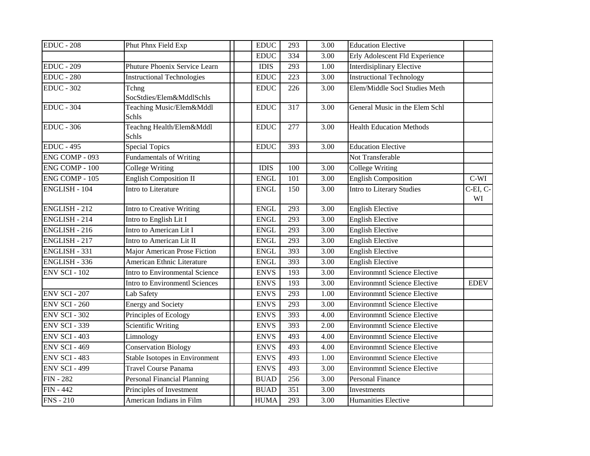| <b>EDUC</b> - 208     | Phut Phnx Field Exp               | <b>EDUC</b> | 293 | 3.00 | <b>Education Elective</b>           |                      |
|-----------------------|-----------------------------------|-------------|-----|------|-------------------------------------|----------------------|
|                       |                                   | <b>EDUC</b> | 334 | 3.00 | Erly Adolescent Fld Experience      |                      |
| <b>EDUC</b> - 209     | Phuture Phoenix Service Learn     | <b>IDIS</b> | 293 | 1.00 | Interdisiplinary Elective           |                      |
| <b>EDUC</b> - 280     | <b>Instructional Technologies</b> | <b>EDUC</b> | 223 | 3.00 | <b>Instructional Technology</b>     |                      |
| <b>EDUC - 302</b>     | Tchng<br>SocStdies/Elem&MddlSchls | <b>EDUC</b> | 226 | 3.00 | Elem/Middle Socl Studies Meth       |                      |
| $EDUC - 304$          | Teaching Music/Elem&Mddl<br>Schls | <b>EDUC</b> | 317 | 3.00 | General Music in the Elem Schl      |                      |
| <b>EDUC</b> - 306     | Teachng Health/Elem&Mddl<br>Schls | <b>EDUC</b> | 277 | 3.00 | <b>Health Education Methods</b>     |                      |
| <b>EDUC - 495</b>     | <b>Special Topics</b>             | <b>EDUC</b> | 393 | 3.00 | <b>Education Elective</b>           |                      |
| ENG COMP - $093$      | <b>Fundamentals of Writing</b>    |             |     |      | Not Transferable                    |                      |
| <b>ENG COMP - 100</b> | <b>College Writing</b>            | <b>IDIS</b> | 100 | 3.00 | <b>College Writing</b>              |                      |
| ENG COMP - 105        | <b>English Composition II</b>     | <b>ENGL</b> | 101 | 3.00 | <b>English Composition</b>          | $C-WI$               |
| <b>ENGLISH - 104</b>  | Intro to Literature               | <b>ENGL</b> | 150 | 3.00 | Intro to Literary Studies           | $C$ -EI, $C$ -<br>WI |
| <b>ENGLISH - 212</b>  | Intro to Creative Writing         | <b>ENGL</b> | 293 | 3.00 | <b>English Elective</b>             |                      |
| <b>ENGLISH - 214</b>  | Intro to English Lit I            | <b>ENGL</b> | 293 | 3.00 | <b>English Elective</b>             |                      |
| ENGLISH - 216         | Intro to American Lit I           | <b>ENGL</b> | 293 | 3.00 | <b>English Elective</b>             |                      |
| <b>ENGLISH - 217</b>  | Intro to American Lit II          | <b>ENGL</b> | 293 | 3.00 | <b>English Elective</b>             |                      |
| ENGLISH - 331         | Major American Prose Fiction      | <b>ENGL</b> | 393 | 3.00 | English Elective                    |                      |
| ENGLISH - 336         | American Ethnic Literature        | <b>ENGL</b> | 393 | 3.00 | <b>English Elective</b>             |                      |
| <b>ENV SCI - 102</b>  | Intro to Environmental Science    | <b>ENVS</b> | 193 | 3.00 | <b>Environmntl Science Elective</b> |                      |
|                       | Intro to Environmentl Sciences    | <b>ENVS</b> | 193 | 3.00 | <b>Environmntl Science Elective</b> | <b>EDEV</b>          |
| <b>ENV SCI - 207</b>  | Lab Safety                        | <b>ENVS</b> | 293 | 1.00 | <b>Environmntl Science Elective</b> |                      |
| <b>ENV SCI - 260</b>  | <b>Energy and Society</b>         | <b>ENVS</b> | 293 | 3.00 | <b>Environmntl Science Elective</b> |                      |
| <b>ENV SCI - 302</b>  | Principles of Ecology             | <b>ENVS</b> | 393 | 4.00 | Environmntl Science Elective        |                      |
| <b>ENV SCI - 339</b>  | Scientific Writing                | <b>ENVS</b> | 393 | 2.00 | <b>Environmntl Science Elective</b> |                      |
| <b>ENV SCI - 403</b>  | Limnology                         | <b>ENVS</b> | 493 | 4.00 | <b>Environmntl Science Elective</b> |                      |
| <b>ENV SCI - 469</b>  | <b>Conservation Biology</b>       | <b>ENVS</b> | 493 | 4.00 | <b>Environmntl Science Elective</b> |                      |
| <b>ENV SCI - 483</b>  | Stable Isotopes in Environment    | <b>ENVS</b> | 493 | 1.00 | <b>Environmntl Science Elective</b> |                      |
| <b>ENV SCI - 499</b>  | <b>Travel Course Panama</b>       | <b>ENVS</b> | 493 | 3.00 | <b>Environmntl Science Elective</b> |                      |
| <b>FIN - 282</b>      | Personal Financial Planning       | <b>BUAD</b> | 256 | 3.00 | <b>Personal Finance</b>             |                      |
| $FIN - 442$           | Principles of Investment          | <b>BUAD</b> | 351 | 3.00 | Investments                         |                      |
| $FNS - 210$           | American Indians in Film          | <b>HUMA</b> | 293 | 3.00 | <b>Humanities Elective</b>          |                      |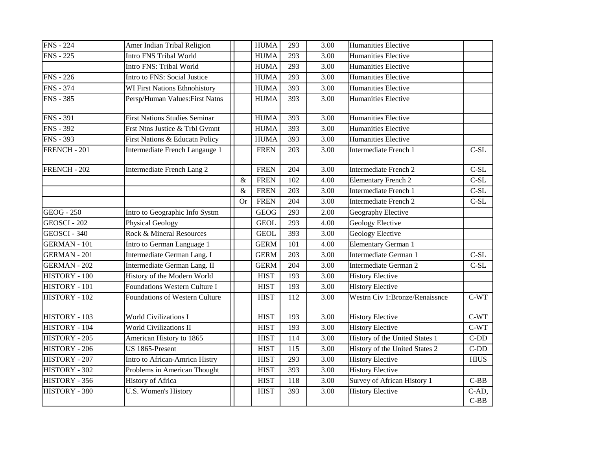| <b>FNS</b> - 224    | Amer Indian Tribal Religion          |           | <b>HUMA</b> | 293              | 3.00 | Humanities Elective            |                 |
|---------------------|--------------------------------------|-----------|-------------|------------------|------|--------------------------------|-----------------|
| <b>FNS - 225</b>    | <b>Intro FNS Tribal World</b>        |           | <b>HUMA</b> | 293              | 3.00 | <b>Humanities Elective</b>     |                 |
|                     | Intro FNS: Tribal World              |           | <b>HUMA</b> | 293              | 3.00 | Humanities Elective            |                 |
| <b>FNS</b> - 226    | Intro to FNS: Social Justice         |           | <b>HUMA</b> | 293              | 3.00 | Humanities Elective            |                 |
| <b>FNS</b> - 374    | <b>WI First Nations Ethnohistory</b> |           | <b>HUMA</b> | 393              | 3.00 | <b>Humanities Elective</b>     |                 |
| <b>FNS - 385</b>    | Persp/Human Values: First Natns      |           | <b>HUMA</b> | 393              | 3.00 | Humanities Elective            |                 |
| <b>FNS - 391</b>    | <b>First Nations Studies Seminar</b> |           | <b>HUMA</b> | 393              | 3.00 | Humanities Elective            |                 |
| <b>FNS - 392</b>    | Frst Ntns Justice & Trbl Gvmnt       |           | <b>HUMA</b> | 393              | 3.00 | Humanities Elective            |                 |
| <b>FNS - 393</b>    | First Nations & Educatn Policy       |           | <b>HUMA</b> | 393              | 3.00 | Humanities Elective            |                 |
| FRENCH - 201        | Intermediate French Langauge 1       |           | <b>FREN</b> | 203              | 3.00 | Intermediate French 1          | $C-SL$          |
| <b>FRENCH - 202</b> | Intermediate French Lang 2           |           | <b>FREN</b> | $\overline{204}$ | 3.00 | Intermediate French 2          | $C-SL$          |
|                     |                                      | $\&$      | <b>FREN</b> | 102              | 4.00 | <b>Elementary French 2</b>     | $C-SL$          |
|                     |                                      | &         | <b>FREN</b> | 203              | 3.00 | Intermediate French 1          | $C-SL$          |
|                     |                                      | <b>Or</b> | <b>FREN</b> | 204              | 3.00 | Intermediate French 2          | $\mbox{C-SL}$   |
| <b>GEOG</b> - 250   | Intro to Geographic Info Systm       |           | <b>GEOG</b> | 293              | 2.00 | Geography Elective             |                 |
| GEOSCI - 202        | <b>Physical Geology</b>              |           | <b>GEOL</b> | 293              | 4.00 | Geology Elective               |                 |
| GEOSCI - 340        | Rock & Mineral Resources             |           | <b>GEOL</b> | 393              | 3.00 | Geology Elective               |                 |
| <b>GERMAN - 101</b> | Intro to German Language 1           |           | <b>GERM</b> | 101              | 4.00 | Elementary German 1            |                 |
| <b>GERMAN - 201</b> | Intermediate German Lang. I          |           | <b>GERM</b> | 203              | 3.00 | Intermediate German 1          | $C-SL$          |
| <b>GERMAN - 202</b> | Intermediate German Lang. II         |           | <b>GERM</b> | 204              | 3.00 | Intermediate German 2          | $C-SL$          |
| HISTORY - 100       | History of the Modern World          |           | <b>HIST</b> | 193              | 3.00 | <b>History Elective</b>        |                 |
| HISTORY - 101       | <b>Foundations Western Culture I</b> |           | <b>HIST</b> | 193              | 3.00 | <b>History Elective</b>        |                 |
| HISTORY - 102       | Foundations of Western Culture       |           | <b>HIST</b> | 112              | 3.00 | Westrn Civ 1:Bronze/Renaissnce | $C-WT$          |
| HISTORY - $103$     | <b>World Civilizations I</b>         |           | <b>HIST</b> | 193              | 3.00 | <b>History Elective</b>        | $C-WT$          |
| HISTORY - 104       | <b>World Civilizations II</b>        |           | <b>HIST</b> | 193              | 3.00 | <b>History Elective</b>        | $C-WT$          |
| HISTORY - 205       | American History to 1865             |           | <b>HIST</b> | 114              | 3.00 | History of the United States 1 | $C-DD$          |
| HISTORY - 206       | US 1865-Present                      |           | <b>HIST</b> | 115              | 3.00 | History of the United States 2 | $C-DD$          |
| HISTORY - 207       | Intro to African-Amricn Histry       |           | <b>HIST</b> | 293              | 3.00 | <b>History Elective</b>        | <b>HIUS</b>     |
| HISTORY - 302       | Problems in American Thought         |           | <b>HIST</b> | 393              | 3.00 | <b>History Elective</b>        |                 |
| HISTORY - 356       | History of Africa                    |           | <b>HIST</b> | 118              | 3.00 | Survey of African History 1    | $C-BB$          |
| HISTORY - 380       | U.S. Women's History                 |           | <b>HIST</b> | 393              | 3.00 | <b>History Elective</b>        | C-AD,<br>$C-BB$ |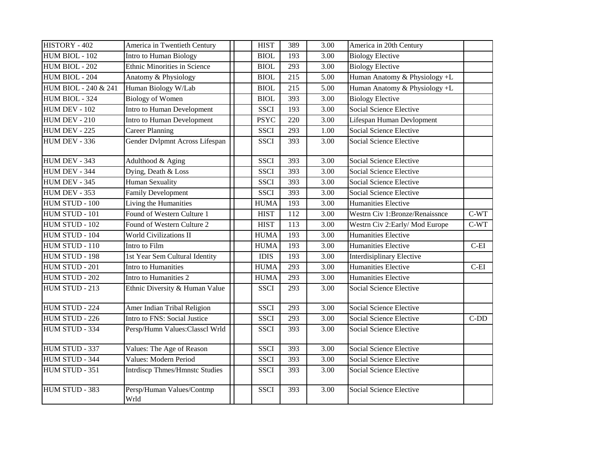| HISTORY - 402        | America in Twentieth Century          | <b>HIST</b> | 389 | 3.00 | America in 20th Century          |         |
|----------------------|---------------------------------------|-------------|-----|------|----------------------------------|---------|
| HUM BIOL - 102       | Intro to Human Biology                | <b>BIOL</b> | 193 | 3.00 | <b>Biology Elective</b>          |         |
| HUM BIOL - 202       | Ethnic Minorities in Science          | <b>BIOL</b> | 293 | 3.00 | <b>Biology Elective</b>          |         |
| HUM BIOL - 204       | Anatomy & Physiology                  | <b>BIOL</b> | 215 | 5.00 | Human Anatomy & Physiology +L    |         |
| HUM BIOL - 240 & 241 | Human Biology W/Lab                   | <b>BIOL</b> | 215 | 5.00 | Human Anatomy & Physiology +L    |         |
| HUM BIOL - 324       | <b>Biology of Women</b>               | <b>BIOL</b> | 393 | 3.00 | <b>Biology Elective</b>          |         |
| HUM DEV - 102        | Intro to Human Development            | <b>SSCI</b> | 193 | 3.00 | Social Science Elective          |         |
| HUM DEV - 210        | Intro to Human Development            | <b>PSYC</b> | 220 | 3.00 | Lifespan Human Devlopment        |         |
| HUM DEV - 225        | <b>Career Planning</b>                | <b>SSCI</b> | 293 | 1.00 | <b>Social Science Elective</b>   |         |
| HUM DEV - 336        | Gender Dvlpmnt Across Lifespan        | <b>SSCI</b> | 393 | 3.00 | <b>Social Science Elective</b>   |         |
| HUM DEV - 343        | Adulthood & Aging                     | <b>SSCI</b> | 393 | 3.00 | <b>Social Science Elective</b>   |         |
| HUM DEV - 344        | Dying, Death & Loss                   | <b>SSCI</b> | 393 | 3.00 | Social Science Elective          |         |
| HUM DEV - 345        | Human Sexuality                       | <b>SSCI</b> | 393 | 3.00 | Social Science Elective          |         |
| <b>HUM DEV - 353</b> | <b>Family Development</b>             | <b>SSCI</b> | 393 | 3.00 | Social Science Elective          |         |
| HUM STUD - 100       | Living the Humanities                 | <b>HUMA</b> | 193 | 3.00 | Humanities Elective              |         |
| HUM STUD - 101       | Found of Western Culture 1            | <b>HIST</b> | 112 | 3.00 | Westrn Civ 1:Bronze/Renaissnce   | $C-WT$  |
| HUM STUD - 102       | Found of Western Culture 2            | <b>HIST</b> | 113 | 3.00 | Westrn Civ 2: Early/Mod Europe   | $C-WT$  |
| HUM STUD - 104       | World Civilizations II                | <b>HUMA</b> | 193 | 3.00 | Humanities Elective              |         |
| HUM STUD - 110       | Intro to Film                         | <b>HUMA</b> | 193 | 3.00 | Humanities Elective              | $C-EI$  |
| HUM STUD - 198       | 1st Year Sem Cultural Identity        | <b>IDIS</b> | 193 | 3.00 | <b>Interdisiplinary Elective</b> |         |
| HUM STUD - 201       | Intro to Humanities                   | <b>HUMA</b> | 293 | 3.00 | <b>Humanities Elective</b>       | $C$ -EI |
| HUM STUD - 202       | Intro to Humanities 2                 | <b>HUMA</b> | 293 | 3.00 | Humanities Elective              |         |
| HUM STUD - 213       | Ethnic Diversity & Human Value        | <b>SSCI</b> | 293 | 3.00 | Social Science Elective          |         |
| HUM STUD - 224       | Amer Indian Tribal Religion           | <b>SSCI</b> | 293 | 3.00 | Social Science Elective          |         |
| HUM STUD - 226       | Intro to FNS: Social Justice          | <b>SSCI</b> | 293 | 3.00 | Social Science Elective          | $C-DD$  |
| HUM STUD - 334       | Persp/Humn Values:Classcl Wrld        | <b>SSCI</b> | 393 | 3.00 | Social Science Elective          |         |
| HUM STUD - 337       | Values: The Age of Reason             | <b>SSCI</b> | 393 | 3.00 | Social Science Elective          |         |
| HUM STUD - 344       | Values: Modern Period                 | <b>SSCI</b> | 393 | 3.00 | Social Science Elective          |         |
| HUM STUD - 351       | <b>Intrdiscp Thmes/Hmnstc Studies</b> | <b>SSCI</b> | 393 | 3.00 | Social Science Elective          |         |
| HUM STUD - 383       | Persp/Human Values/Contmp<br>Wrld     | <b>SSCI</b> | 393 | 3.00 | Social Science Elective          |         |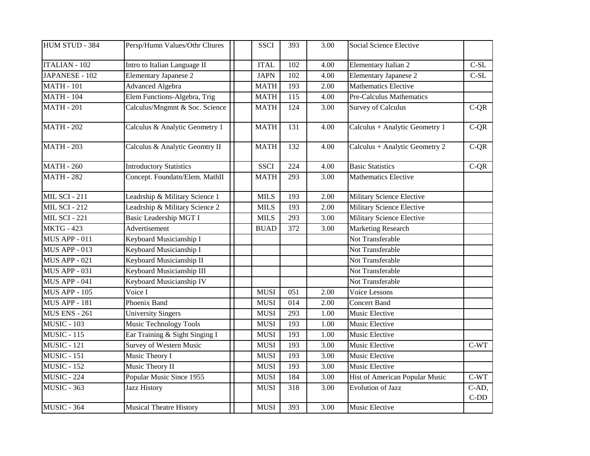| HUM STUD - 384       | Persp/Humn Values/Othr Cltures | <b>SSCI</b> | 393              | 3.00 | Social Science Elective        |                 |
|----------------------|--------------------------------|-------------|------------------|------|--------------------------------|-----------------|
| <b>ITALIAN - 102</b> | Intro to Italian Language II   | <b>ITAL</b> | 102              | 4.00 | Elementary Italian 2           | $C-SL$          |
| JAPANESE - 102       | <b>Elementary Japanese 2</b>   | <b>JAPN</b> | 102              | 4.00 | <b>Elementary Japanese 2</b>   | $C-SL$          |
| <b>MATH - 101</b>    | <b>Advanced Algebra</b>        | <b>MATH</b> | 193              | 2.00 | <b>Mathematics Elective</b>    |                 |
| <b>MATH - 104</b>    | Elem Functions-Algebra, Trig   | <b>MATH</b> | 115              | 4.00 | Pre-Calculus Mathematics       |                 |
| <b>MATH - 201</b>    | Calculus/Mngmnt & Soc. Science | <b>MATH</b> | 124              | 3.00 | <b>Survey of Calculus</b>      | $C-QR$          |
| <b>MATH - 202</b>    | Calculus & Analytic Geometry 1 | <b>MATH</b> | 131              | 4.00 | Calculus + Analytic Geometry 1 | $C-QR$          |
| <b>MATH - 203</b>    | Calculus & Analytic Geomtry II | <b>MATH</b> | 132              | 4.00 | Calculus + Analytic Geometry 2 | $C-QR$          |
| <b>MATH - 260</b>    | <b>Introductory Statistics</b> | <b>SSCI</b> | 224              | 4.00 | <b>Basic Statistics</b>        | $C-QR$          |
| <b>MATH - 282</b>    | Concept. Foundatn/Elem. MathII | <b>MATH</b> | 293              | 3.00 | <b>Mathematics Elective</b>    |                 |
| <b>MIL SCI - 211</b> | Leadrship & Military Science 1 | <b>MILS</b> | 193              | 2.00 | Military Science Elective      |                 |
| <b>MIL SCI - 212</b> | Leadrship & Military Science 2 | <b>MILS</b> | 193              | 2.00 | Military Science Elective      |                 |
| <b>MIL SCI - 221</b> | Basic Leadership MGT I         | <b>MILS</b> | 293              | 3.00 | Military Science Elective      |                 |
| <b>MKTG - 423</b>    | Advertisement                  | <b>BUAD</b> | 372              | 3.00 | Marketing Research             |                 |
| <b>MUS APP - 011</b> | Keyboard Musicianship I        |             |                  |      | Not Transferable               |                 |
| <b>MUS APP - 013</b> | Keyboard Musicianship I        |             |                  |      | Not Transferable               |                 |
| <b>MUS APP - 021</b> | Keyboard Musicianship II       |             |                  |      | Not Transferable               |                 |
| <b>MUS APP - 031</b> | Keyboard Musicianship III      |             |                  |      | Not Transferable               |                 |
| <b>MUS APP - 041</b> | Keyboard Musicianship IV       |             |                  |      | Not Transferable               |                 |
| <b>MUS APP - 105</b> | Voice I                        | <b>MUSI</b> | 051              | 2.00 | Voice Lessons                  |                 |
| <b>MUS APP - 181</b> | Phoenix Band                   | <b>MUSI</b> | $\overline{014}$ | 2.00 | <b>Concert Band</b>            |                 |
| <b>MUS ENS - 261</b> | <b>University Singers</b>      | <b>MUSI</b> | 293              | 1.00 | Music Elective                 |                 |
| <b>MUSIC - 103</b>   | <b>Music Technology Tools</b>  | <b>MUSI</b> | 193              | 1.00 | Music Elective                 |                 |
| <b>MUSIC - 115</b>   | Ear Training & Sight Singing I | <b>MUSI</b> | 193              | 1.00 | Music Elective                 |                 |
| <b>MUSIC - 121</b>   | <b>Survey of Western Music</b> | <b>MUSI</b> | 193              | 3.00 | Music Elective                 | $C-WT$          |
| <b>MUSIC - 151</b>   | Music Theory I                 | <b>MUSI</b> | 193              | 3.00 | Music Elective                 |                 |
| <b>MUSIC - 152</b>   | Music Theory II                | <b>MUSI</b> | 193              | 3.00 | Music Elective                 |                 |
| <b>MUSIC - 224</b>   | Popular Music Since 1955       | <b>MUSI</b> | 184              | 3.00 | Hist of American Popular Music | $C-WT$          |
| <b>MUSIC - 363</b>   | <b>Jazz History</b>            | <b>MUSI</b> | 318              | 3.00 | <b>Evolution of Jazz</b>       | C-AD,<br>$C-DD$ |
| <b>MUSIC - 364</b>   | <b>Musical Theatre History</b> | <b>MUSI</b> | 393              | 3.00 | Music Elective                 |                 |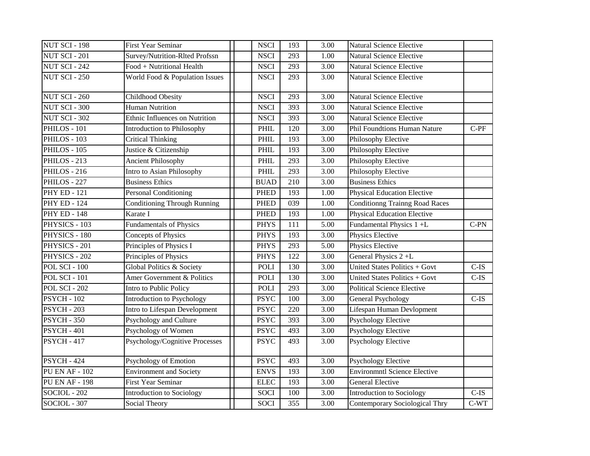| <b>NUT SCI - 198</b>  | <b>First Year Seminar</b>           | <b>NSCI</b> | 193 | 3.00 | Natural Science Elective            |         |
|-----------------------|-------------------------------------|-------------|-----|------|-------------------------------------|---------|
| <b>NUT SCI - 201</b>  | Survey/Nutrition-RIted Profssn      | <b>NSCI</b> | 293 | 1.00 | <b>Natural Science Elective</b>     |         |
| <b>NUT SCI - 242</b>  | Food + Nutritional Health           | <b>NSCI</b> | 293 | 3.00 | <b>Natural Science Elective</b>     |         |
| <b>NUT SCI - 250</b>  | World Food & Population Issues      | <b>NSCI</b> | 293 | 3.00 | <b>Natural Science Elective</b>     |         |
| <b>NUT SCI - 260</b>  | <b>Childhood Obesity</b>            | <b>NSCI</b> | 293 | 3.00 | <b>Natural Science Elective</b>     |         |
| <b>NUT SCI - 300</b>  | <b>Human Nutrition</b>              | <b>NSCI</b> | 393 | 3.00 | Natural Science Elective            |         |
| <b>NUT SCI - 302</b>  | Ethnic Influences on Nutrition      | <b>NSCI</b> | 393 | 3.00 | <b>Natural Science Elective</b>     |         |
| PHILOS - 101          | Introduction to Philosophy          | <b>PHIL</b> | 120 | 3.00 | Phil Foundtions Human Nature        | $C-PF$  |
| PHILOS - 103          | <b>Critical Thinking</b>            | PHIL        | 193 | 3.00 | Philosophy Elective                 |         |
| PHILOS - 105          | Justice & Citizenship               | PHIL        | 193 | 3.00 | Philosophy Elective                 |         |
| PHILOS - 213          | <b>Ancient Philosophy</b>           | PHIL        | 293 | 3.00 | Philosophy Elective                 |         |
| PHILOS - 216          | Intro to Asian Philosophy           | PHIL        | 293 | 3.00 | Philosophy Elective                 |         |
| PHILOS - 227          | <b>Business Ethics</b>              | <b>BUAD</b> | 210 | 3.00 | <b>Business Ethics</b>              |         |
| <b>PHY ED - 121</b>   | <b>Personal Conditioning</b>        | <b>PHED</b> | 193 | 1.00 | <b>Physical Education Elective</b>  |         |
| <b>PHY ED - 124</b>   | <b>Conditioning Through Running</b> | <b>PHED</b> | 039 | 1.00 | Conditionng Trainng Road Races      |         |
| <b>PHY ED - 148</b>   | Karate I                            | <b>PHED</b> | 193 | 1.00 | <b>Physical Education Elective</b>  |         |
| PHYSICS - 103         | <b>Fundamentals of Physics</b>      | <b>PHYS</b> | 111 | 5.00 | Fundamental Physics 1 +L            | $C-PN$  |
| PHYSICS - 180         | Concepts of Physics                 | <b>PHYS</b> | 193 | 3.00 | Physics Elective                    |         |
| PHYSICS - 201         | Principles of Physics I             | <b>PHYS</b> | 293 | 5.00 | Physics Elective                    |         |
| PHYSICS - 202         | Principles of Physics               | <b>PHYS</b> | 122 | 3.00 | General Physics 2+L                 |         |
| <b>POL SCI - 100</b>  | Global Politics & Society           | <b>POLI</b> | 130 | 3.00 | United States Politics + Govt       | $C$ -IS |
| <b>POL SCI - 101</b>  | Amer Government & Politics          | <b>POLI</b> | 130 | 3.00 | United States Politics + Govt       | $C$ -IS |
| <b>POL SCI - 202</b>  | Intro to Public Policy              | <b>POLI</b> | 293 | 3.00 | <b>Political Science Elective</b>   |         |
| <b>PSYCH - 102</b>    | Introduction to Psychology          | <b>PSYC</b> | 100 | 3.00 | <b>General Psychology</b>           | $C$ -IS |
| <b>PSYCH - 203</b>    | Intro to Lifespan Development       | <b>PSYC</b> | 220 | 3.00 | Lifespan Human Devlopment           |         |
| <b>PSYCH - 350</b>    | Psychology and Culture              | <b>PSYC</b> | 393 | 3.00 | <b>Psychology Elective</b>          |         |
| <b>PSYCH - 401</b>    | Psychology of Women                 | <b>PSYC</b> | 493 | 3.00 | <b>Psychology Elective</b>          |         |
| <b>PSYCH - 417</b>    | Psychology/Cognitive Processes      | <b>PSYC</b> | 493 | 3.00 | <b>Psychology Elective</b>          |         |
| <b>PSYCH - 424</b>    | Psychology of Emotion               | <b>PSYC</b> | 493 | 3.00 | <b>Psychology Elective</b>          |         |
| <b>PU EN AF - 102</b> | <b>Environment and Society</b>      | <b>ENVS</b> | 193 | 3.00 | <b>Environmntl Science Elective</b> |         |
| <b>PU EN AF - 198</b> | <b>First Year Seminar</b>           | <b>ELEC</b> | 193 | 3.00 | <b>General Elective</b>             |         |
| SOCIOL - 202          | <b>Introduction to Sociology</b>    | <b>SOCI</b> | 100 | 3.00 | <b>Introduction to Sociology</b>    | $C$ -IS |
| SOCIOL - 307          | Social Theory                       | <b>SOCI</b> | 355 | 3.00 | Contemporary Sociological Thry      | $C-WT$  |